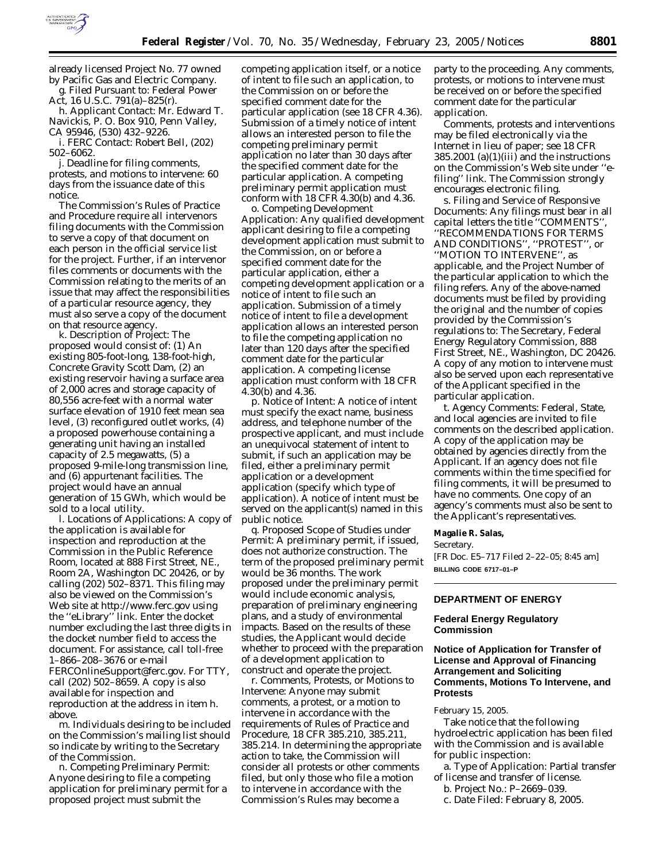

already licensed Project No. 77 owned by Pacific Gas and Electric Company. g. *Filed Pursuant to:* Federal Power

Act, 16 U.S.C. 791(a)–825(r). h. *Applicant Contact:* Mr. Edward T. Navickis, P. O. Box 910, Penn Valley, CA 95946, (530) 432–9226.

i. *FERC Contact:* Robert Bell, (202) 502–6062.

j. *Deadline for filing comments, protests, and motions to intervene:* 60 days from the issuance date of this notice.

The Commission's Rules of Practice and Procedure require all intervenors filing documents with the Commission to serve a copy of that document on each person in the official service list for the project. Further, if an intervenor files comments or documents with the Commission relating to the merits of an issue that may affect the responsibilities of a particular resource agency, they must also serve a copy of the document on that resource agency.

k. *Description of Project:* The proposed would consist of: (1) An existing 805-foot-long, 138-foot-high, Concrete Gravity Scott Dam, (2) an existing reservoir having a surface area of 2,000 acres and storage capacity of 80,556 acre-feet with a normal water surface elevation of 1910 feet mean sea level, (3) reconfigured outlet works, (4) a proposed powerhouse containing a generating unit having an installed capacity of 2.5 megawatts, (5) a proposed 9-mile-long transmission line, and (6) appurtenant facilities. The project would have an annual generation of 15 GWh, which would be sold to a local utility.

l. *Locations of Applications:* A copy of the application is available for inspection and reproduction at the Commission in the Public Reference Room, located at 888 First Street, NE., Room 2A, Washington DC 20426, or by calling (202) 502–8371. This filing may also be viewed on the Commission's Web site at *http://www.ferc.gov* using the ''eLibrary'' link. Enter the docket number excluding the last three digits in the docket number field to access the document. For assistance, call toll-free 1–866–208–3676 or e-mail *FERCOnlineSupport@ferc.gov.* For TTY, call (202) 502–8659. A copy is also available for inspection and reproduction at the address in item h. above.

m. Individuals desiring to be included on the Commission's mailing list should so indicate by writing to the Secretary of the Commission.

n. *Competing Preliminary Permit:* Anyone desiring to file a competing application for preliminary permit for a proposed project must submit the

competing application itself, or a notice of intent to file such an application, to the Commission on or before the specified comment date for the particular application (*see* 18 CFR 4.36). Submission of a timely notice of intent allows an interested person to file the competing preliminary permit application no later than 30 days after the specified comment date for the particular application. A competing preliminary permit application must conform with 18 CFR 4.30(b) and 4.36.

o. *Competing Development Application:* Any qualified development applicant desiring to file a competing development application must submit to the Commission, on or before a specified comment date for the particular application, either a competing development application or a notice of intent to file such an application. Submission of a timely notice of intent to file a development application allows an interested person to file the competing application no later than 120 days after the specified comment date for the particular application. A competing license application must conform with 18 CFR 4.30(b) and 4.36.

p. *Notice of Intent:* A notice of intent must specify the exact name, business address, and telephone number of the prospective applicant, and must include an unequivocal statement of intent to submit, if such an application may be filed, either a preliminary permit application or a development application (specify which type of application). A notice of intent must be served on the applicant(s) named in this public notice.

q. *Proposed Scope of Studies under Permit:* A preliminary permit, if issued, does not authorize construction. The term of the proposed preliminary permit would be 36 months. The work proposed under the preliminary permit would include economic analysis, preparation of preliminary engineering plans, and a study of environmental impacts. Based on the results of these studies, the Applicant would decide whether to proceed with the preparation of a development application to construct and operate the project.

r. *Comments, Protests, or Motions to Intervene:* Anyone may submit comments, a protest, or a motion to intervene in accordance with the requirements of Rules of Practice and Procedure, 18 CFR 385.210, 385.211, 385.214. In determining the appropriate action to take, the Commission will consider all protests or other comments filed, but only those who file a motion to intervene in accordance with the Commission's Rules may become a

party to the proceeding. Any comments, protests, or motions to intervene must be received on or before the specified comment date for the particular application.

Comments, protests and interventions may be filed electronically via the Internet in lieu of paper; *see* 18 CFR  $385.2001$  (a)(1)(iii) and the instructions on the Commission's Web site under ''efiling'' link. The Commission strongly encourages electronic filing.

s. *Filing and Service of Responsive Documents:* Any filings must bear in all capital letters the title ''COMMENTS'', ''RECOMMENDATIONS FOR TERMS AND CONDITIONS'', ''PROTEST'', or ''MOTION TO INTERVENE'', as applicable, and the Project Number of the particular application to which the filing refers. Any of the above-named documents must be filed by providing the original and the number of copies provided by the Commission's regulations to: The Secretary, Federal Energy Regulatory Commission, 888 First Street, NE., Washington, DC 20426. A copy of any motion to intervene must also be served upon each representative of the Applicant specified in the particular application.

t. *Agency Comments:* Federal, State, and local agencies are invited to file comments on the described application. A copy of the application may be obtained by agencies directly from the Applicant. If an agency does not file comments within the time specified for filing comments, it will be presumed to have no comments. One copy of an agency's comments must also be sent to the Applicant's representatives.

### **Magalie R. Salas,**

*Secretary.* [FR Doc. E5–717 Filed 2–22–05; 8:45 am] **BILLING CODE 6717–01–P**

#### **DEPARTMENT OF ENERGY**

## **Federal Energy Regulatory Commission**

# **Notice of Application for Transfer of License and Approval of Financing Arrangement and Soliciting Comments, Motions To Intervene, and Protests**

### February 15, 2005.

Take notice that the following hydroelectric application has been filed with the Commission and is available for public inspection:

a. *Type of Application:* Partial transfer of license and transfer of license.

c. *Date Filed:* February 8, 2005.

b. *Project No.:* P–2669–039.